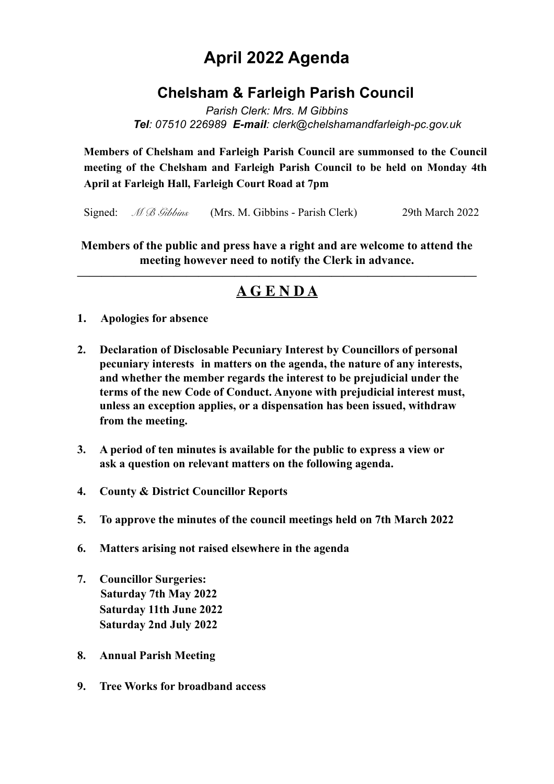# **April 2022 Agenda**

## **Chelsham & Farleigh Parish Council**

*Parish Clerk: Mrs. M Gibbins Tel: 07510 226989 E-mail: clerk@chelshamandfarleigh-pc.gov.uk* 

**Members of Chelsham and Farleigh Parish Council are summonsed to the Council meeting of the Chelsham and Farleigh Parish Council to be held on Monday 4th April at Farleigh Hall, Farleigh Court Road at 7pm**

Signed: *M B Gibbins* (Mrs. M. Gibbins - Parish Clerk) 29th March 2022

**Members of the public and press have a right and are welcome to attend the meeting however need to notify the Clerk in advance.** 

### **————————————————————————————————— A G E N D A**

- **1. Apologies for absence**
- **2. Declaration of Disclosable Pecuniary Interest by Councillors of personal pecuniary interests in matters on the agenda, the nature of any interests, and whether the member regards the interest to be prejudicial under the terms of the new Code of Conduct. Anyone with prejudicial interest must, unless an exception applies, or a dispensation has been issued, withdraw from the meeting.**
- **3. A period of ten minutes is available for the public to express a view or ask a question on relevant matters on the following agenda.**
- **4. County & District Councillor Reports**
- **5. To approve the minutes of the council meetings held on 7th March 2022**
- **6. Matters arising not raised elsewhere in the agenda**
- **7. Councillor Surgeries: Saturday 7th May 2022 Saturday 11th June 2022 Saturday 2nd July 2022**
- **8. Annual Parish Meeting**
- **9. Tree Works for broadband access**